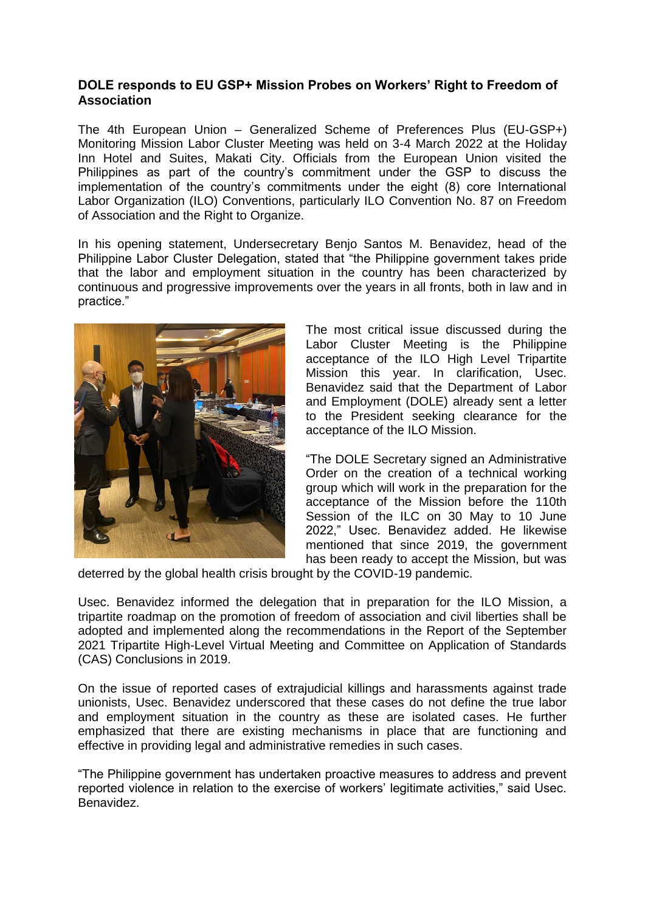## **DOLE responds to EU GSP+ Mission Probes on Workers' Right to Freedom of Association**

The 4th European Union – Generalized Scheme of Preferences Plus (EU-GSP+) Monitoring Mission Labor Cluster Meeting was held on 3-4 March 2022 at the Holiday Inn Hotel and Suites, Makati City. Officials from the European Union visited the Philippines as part of the country's commitment under the GSP to discuss the implementation of the country's commitments under the eight (8) core International Labor Organization (ILO) Conventions, particularly ILO Convention No. 87 on Freedom of Association and the Right to Organize.

In his opening statement, Undersecretary Benjo Santos M. Benavidez, head of the Philippine Labor Cluster Delegation, stated that "the Philippine government takes pride that the labor and employment situation in the country has been characterized by continuous and progressive improvements over the years in all fronts, both in law and in practice."



The most critical issue discussed during the Labor Cluster Meeting is the Philippine acceptance of the ILO High Level Tripartite Mission this year. In clarification, Usec. Benavidez said that the Department of Labor and Employment (DOLE) already sent a letter to the President seeking clearance for the acceptance of the ILO Mission.

"The DOLE Secretary signed an Administrative Order on the creation of a technical working group which will work in the preparation for the acceptance of the Mission before the 110th Session of the ILC on 30 May to 10 June 2022," Usec. Benavidez added. He likewise mentioned that since 2019, the government has been ready to accept the Mission, but was

deterred by the global health crisis brought by the COVID-19 pandemic.

Usec. Benavidez informed the delegation that in preparation for the ILO Mission, a tripartite roadmap on the promotion of freedom of association and civil liberties shall be adopted and implemented along the recommendations in the Report of the September 2021 Tripartite High-Level Virtual Meeting and Committee on Application of Standards (CAS) Conclusions in 2019.

On the issue of reported cases of extrajudicial killings and harassments against trade unionists, Usec. Benavidez underscored that these cases do not define the true labor and employment situation in the country as these are isolated cases. He further emphasized that there are existing mechanisms in place that are functioning and effective in providing legal and administrative remedies in such cases.

"The Philippine government has undertaken proactive measures to address and prevent reported violence in relation to the exercise of workers' legitimate activities," said Usec. Benavidez.